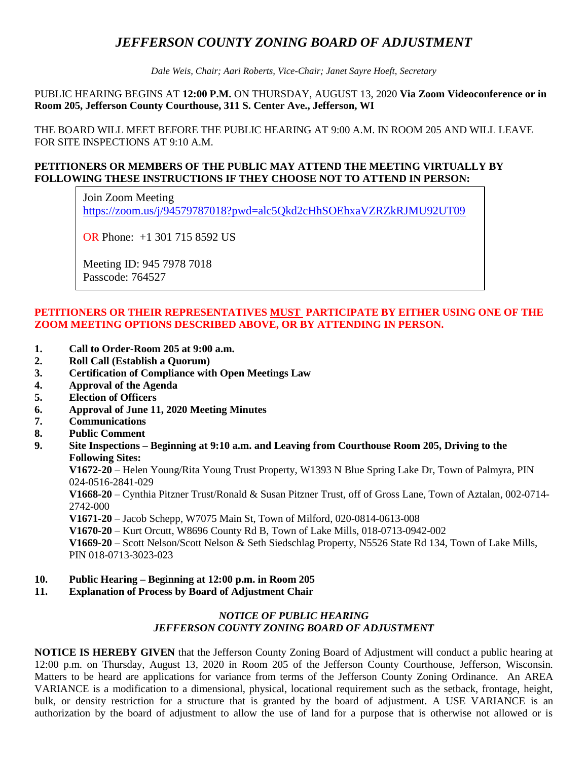# *JEFFERSON COUNTY ZONING BOARD OF ADJUSTMENT*

*Dale Weis, Chair; Aari Roberts, Vice-Chair; Janet Sayre Hoeft, Secretary*

PUBLIC HEARING BEGINS AT **12:00 P.M.** ON THURSDAY, AUGUST 13, 2020 **Via Zoom Videoconference or in Room 205, Jefferson County Courthouse, 311 S. Center Ave., Jefferson, WI**

THE BOARD WILL MEET BEFORE THE PUBLIC HEARING AT 9:00 A.M. IN ROOM 205 AND WILL LEAVE FOR SITE INSPECTIONS AT 9:10 A.M.

### **PETITIONERS OR MEMBERS OF THE PUBLIC MAY ATTEND THE MEETING VIRTUALLY BY FOLLOWING THESE INSTRUCTIONS IF THEY CHOOSE NOT TO ATTEND IN PERSON:**

Join Zoom Meeting <https://zoom.us/j/94579787018?pwd=alc5Qkd2cHhSOEhxaVZRZkRJMU92UT09>

OR Phone: +1 301 715 8592 US

Meeting ID: 945 7978 7018 Passcode: 764527

### **PETITIONERS OR THEIR REPRESENTATIVES MUST PARTICIPATE BY EITHER USING ONE OF THE ZOOM MEETING OPTIONS DESCRIBED ABOVE, OR BY ATTENDING IN PERSON.**

- **1. Call to Order-Room 205 at 9:00 a.m.**
- **2. Roll Call (Establish a Quorum)**
- **3. Certification of Compliance with Open Meetings Law**
- **4. Approval of the Agenda**
- **5. Election of Officers**
- **6. Approval of June 11, 2020 Meeting Minutes**
- **7. Communications**
- **8. Public Comment**
- **9. Site Inspections – Beginning at 9:10 a.m. and Leaving from Courthouse Room 205, Driving to the Following Sites:**

**V1672-20** – Helen Young/Rita Young Trust Property, W1393 N Blue Spring Lake Dr, Town of Palmyra, PIN 024-0516-2841-029

**V1668-20** – Cynthia Pitzner Trust/Ronald & Susan Pitzner Trust, off of Gross Lane, Town of Aztalan, 002-0714- 2742-000

**V1671-20** – Jacob Schepp, W7075 Main St, Town of Milford, 020-0814-0613-008

**V1670-20** – Kurt Orcutt, W8696 County Rd B, Town of Lake Mills, 018-0713-0942-002

**V1669-20** – Scott Nelson/Scott Nelson & Seth Siedschlag Property, N5526 State Rd 134, Town of Lake Mills, PIN 018-0713-3023-023

### **10. Public Hearing – Beginning at 12:00 p.m. in Room 205**

#### **11. Explanation of Process by Board of Adjustment Chair**

### *NOTICE OF PUBLIC HEARING JEFFERSON COUNTY ZONING BOARD OF ADJUSTMENT*

**NOTICE IS HEREBY GIVEN** that the Jefferson County Zoning Board of Adjustment will conduct a public hearing at 12:00 p.m. on Thursday, August 13, 2020 in Room 205 of the Jefferson County Courthouse, Jefferson, Wisconsin. Matters to be heard are applications for variance from terms of the Jefferson County Zoning Ordinance. An AREA VARIANCE is a modification to a dimensional, physical, locational requirement such as the setback, frontage, height, bulk, or density restriction for a structure that is granted by the board of adjustment. A USE VARIANCE is an authorization by the board of adjustment to allow the use of land for a purpose that is otherwise not allowed or is